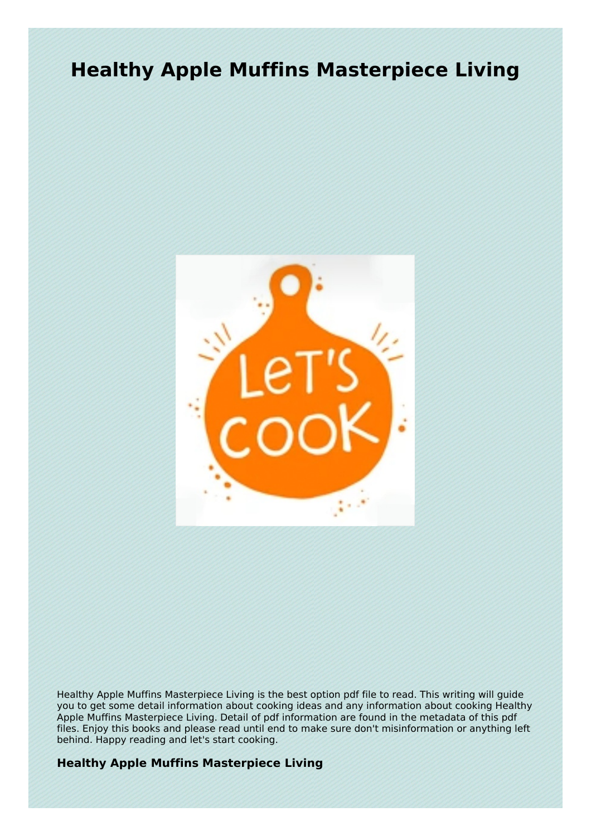# **Healthy Apple Muffins Masterpiece Living**



Healthy Apple Muffins Masterpiece Living is the best option pdf file to read. This writing will guide you to get some detail information about cooking ideas and any information about cooking Healthy Apple Muffins Masterpiece Living. Detail of pdf information are found in the metadata of this pdf files. Enjoy this books and please read until end to make sure don't misinformation or anything left behind. Happy reading and let's start cooking.

## **Healthy Apple Muffins Masterpiece Living**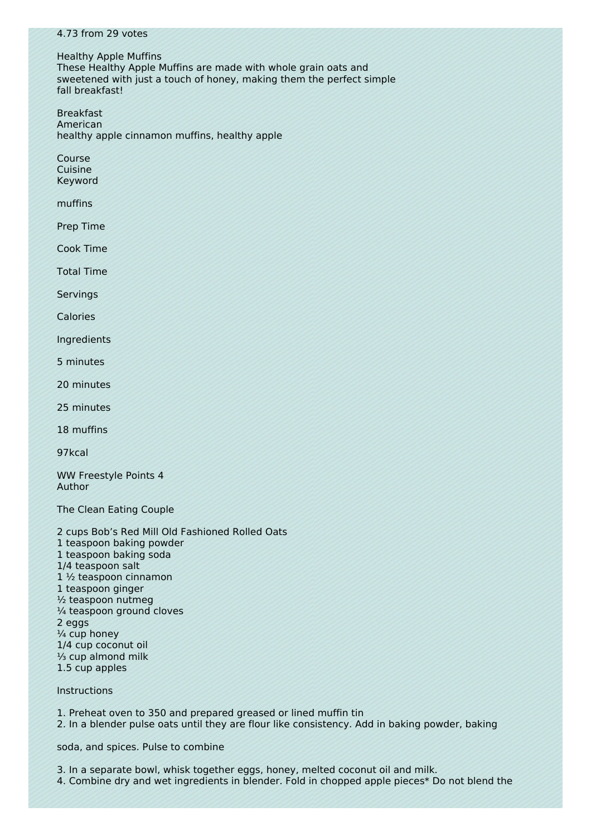#### 4.73 from 29 votes

Healthy Apple Muffins These Healthy Apple Muffins are made with whole grain oats and sweetened with just a touch of honey, making them the perfect simple fall breakfast!

Breakfast American healthy apple cinnamon muffins, healthy apple

Course Cuisine Keyword

muffins

Prep Time

Cook Time

Total Time

Servings

Calories

Ingredients

5 minutes

20 minutes

25 minutes

18 muffins

97kcal

WW Freestyle Points 4 Author

The Clean Eating Couple

2 cups Bob's Red Mill Old Fashioned Rolled Oats 1 teaspoon baking powder 1 teaspoon baking soda 1/4 teaspoon salt 1 ½ teaspoon cinnamon 1 teaspoon ginger ½ teaspoon nutmeg ¼ teaspoon ground cloves 2 eggs ¼ cup honey 1/4 cup coconut oil ⅓ cup almond milk 1.5 cup apples

## Instructions

1. Preheat oven to 350 and prepared greased or lined muffin tin

2. In a blender pulse oats until they are flour like consistency. Add in baking powder, baking

soda, and spices. Pulse to combine

3. In a separate bowl, whisk together eggs, honey, melted coconut oil and milk.

4. Combine dry and wet ingredients in blender. Fold in chopped apple pieces\* Do not blend the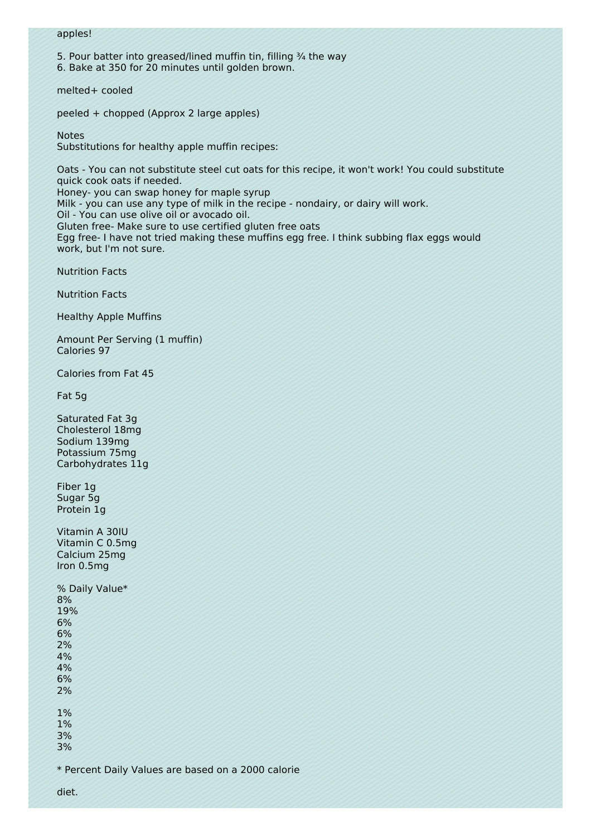#### apples!

5. Pour batter into greased/lined muffin tin, filling 3/4 the way

6. Bake at 350 for 20 minutes until golden brown.

melted+ cooled

peeled + chopped (Approx 2 large apples)

Notes

Substitutions for healthy apple muffin recipes:

Oats - You can not substitute steel cut oats for this recipe, it won't work! You could substitute quick cook oats if needed. Honey- you can swap honey for maple syrup

Milk - you can use any type of milk in the recipe - nondairy, or dairy will work.

Oil - You can use olive oil or avocado oil.

Gluten free- Make sure to use certified gluten free oats

Egg free- I have not tried making these muffins egg free. I think subbing flax eggs would work, but I'm not sure.

Nutrition Facts

Nutrition Facts

Healthy Apple Muffins

Amount Per Serving (1 muffin) Calories 97

Calories from Fat 45

Fat 5g

Saturated Fat 3g Cholesterol 18mg Sodium 139mg Potassium 75mg Carbohydrates 11g

Fiber 1g Sugar 5g Protein 1g

Vitamin A 30IU Vitamin C 0.5mg Calcium 25mg Iron 0.5mg

% Daily Value\* 8% 19% 6% 6% 2% 4% 4% 6% 2% 1% 1%

3% 3%

\* Percent Daily Values are based on a 2000 calorie

diet.